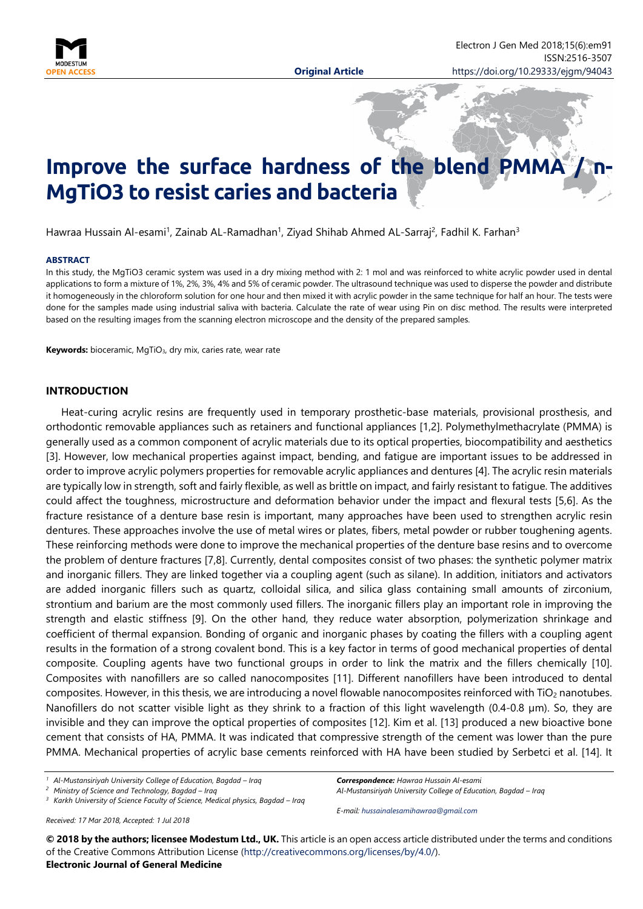

# Improve the surface hardness of the blend PMMA **MgTiO3 to resist caries and bacteria**

Hawraa Hussain Al-esami<sup>1</sup>, Zainab AL-Ramadhan<sup>1</sup>, Ziyad Shihab Ahmed AL-Sarraj<sup>2</sup>, Fadhil K. Farhan<sup>3</sup>

#### **ABSTRACT**

In this study, the MgTiO3 ceramic system was used in a dry mixing method with 2: 1 mol and was reinforced to white acrylic powder used in dental applications to form a mixture of 1%, 2%, 3%, 4% and 5% of ceramic powder. The ultrasound technique was used to disperse the powder and distribute it homogeneously in the chloroform solution for one hour and then mixed it with acrylic powder in the same technique for half an hour. The tests were done for the samples made using industrial saliva with bacteria. Calculate the rate of wear using Pin on disc method. The results were interpreted based on the resulting images from the scanning electron microscope and the density of the prepared samples.

**Keywords:** bioceramic, MgTiO3, dry mix, caries rate, wear rate

#### **INTRODUCTION**

Heat-curing acrylic resins are frequently used in temporary prosthetic-base materials, provisional prosthesis, and orthodontic removable appliances such as retainers and functional appliances [1,2]. Polymethylmethacrylate (PMMA) is generally used as a common component of acrylic materials due to its optical properties, biocompatibility and aesthetics [3]. However, low mechanical properties against impact, bending, and fatigue are important issues to be addressed in order to improve acrylic polymers properties for removable acrylic appliances and dentures [4]. The acrylic resin materials are typically low in strength, soft and fairly flexible, as well as brittle on impact, and fairly resistant to fatigue. The additives could affect the toughness, microstructure and deformation behavior under the impact and flexural tests [5,6]. As the fracture resistance of a denture base resin is important, many approaches have been used to strengthen acrylic resin dentures. These approaches involve the use of metal wires or plates, fibers, metal powder or rubber toughening agents. These reinforcing methods were done to improve the mechanical properties of the denture base resins and to overcome the problem of denture fractures [7,8]. Currently, dental composites consist of two phases: the synthetic polymer matrix and inorganic fillers. They are linked together via a coupling agent (such as silane). In addition, initiators and activators are added inorganic fillers such as quartz, colloidal silica, and silica glass containing small amounts of zirconium, strontium and barium are the most commonly used fillers. The inorganic fillers play an important role in improving the strength and elastic stiffness [9]. On the other hand, they reduce water absorption, polymerization shrinkage and coefficient of thermal expansion. Bonding of organic and inorganic phases by coating the fillers with a coupling agent results in the formation of a strong covalent bond. This is a key factor in terms of good mechanical properties of dental composite. Coupling agents have two functional groups in order to link the matrix and the fillers chemically [10]. Composites with nanofillers are so called nanocomposites [11]. Different nanofillers have been introduced to dental composites. However, in this thesis, we are introducing a novel flowable nanocomposites reinforced with TiO<sub>2</sub> nanotubes. Nanofillers do not scatter visible light as they shrink to a fraction of this light wavelength (0.4-0.8 µm). So, they are invisible and they can improve the optical properties of composites [12]. Kim et al. [13] produced a new bioactive bone cement that consists of HA, PMMA. It was indicated that compressive strength of the cement was lower than the pure PMMA. Mechanical properties of acrylic base cements reinforced with HA have been studied by Serbetci et al. [14]. It

*<sup>1</sup> Al-Mustansiriyah University College of Education, Bagdad – Iraq*

*<sup>2</sup> Ministry of Science and Technology, Bagdad – Iraq*

*<sup>3</sup> Karkh University of Science Faculty of Science, Medical physics, Bagdad – Iraq*

*Received: 17 Mar 2018, Accepted: 1 Jul 2018*

*Correspondence: Hawraa Hussain Al-esami Al-Mustansiriyah University College of Education, Bagdad – Iraq*

*E-mail: [hussainalesamihawraa@gmail.com](mailto:hussainalesamihawraa@gmail.com)*

**© 2018 by the authors; licensee Modestum Ltd., UK.** This article is an open access article distributed under the terms and conditions of the Creative Commons Attribution License [\(http://creativecommons.org/licenses/by/4.0/\)](http://creativecommons.org/licenses/by/4.0/). **Electronic Journal of General Medicine**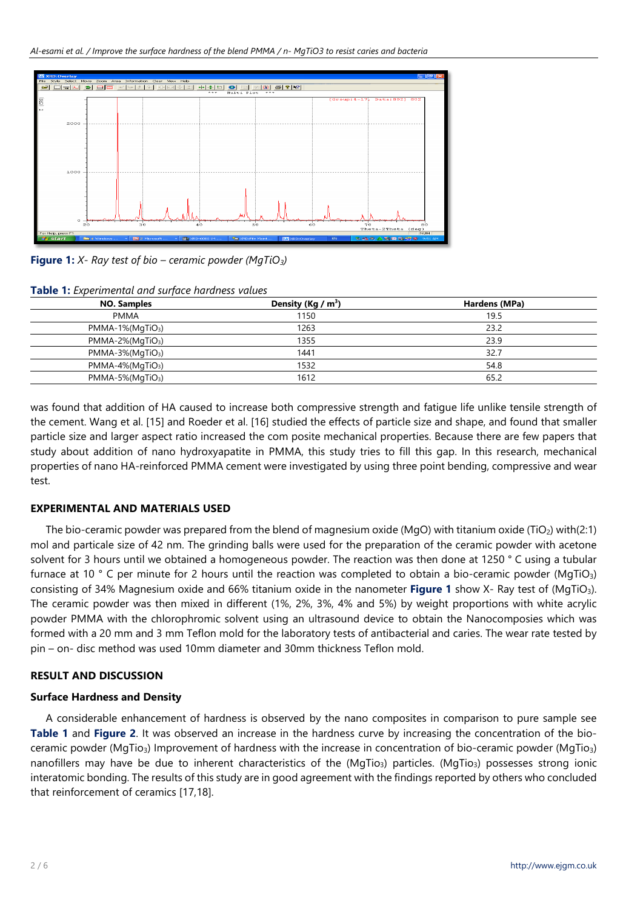

**Figure 1:** *X- Ray test of bio – ceramic powder (MgTiO3)*

| <b>TODIC T.</b> Experimental and sarjace naraness values |                       |               |  |  |
|----------------------------------------------------------|-----------------------|---------------|--|--|
| <b>NO. Samples</b>                                       | Density (Kg / $m^3$ ) | Hardens (MPa) |  |  |
| <b>PMMA</b>                                              | 1150                  | 19.5          |  |  |
| $PMMA-1\% (MqTiO3)$                                      | 1263                  | 23.2          |  |  |
| $PMMA-2\% (MqTiO3)$                                      | 1355                  | 23.9          |  |  |
| $PMMA-3\% (MqTiO3)$                                      | 1441                  | 32.7          |  |  |
| $PMMA-4\% (MqTiO3)$                                      | 1532                  | 54.8          |  |  |
| $PMMA-5\% (MqTiO3)$                                      | 1612                  | 65.2          |  |  |

**Table 1:** *Experimental and surface hardness values*

was found that addition of HA caused to increase both compressive strength and fatigue life unlike tensile strength of the cement. Wang et al. [15] and Roeder et al. [16] studied the effects of particle size and shape, and found that smaller particle size and larger aspect ratio increased the com posite mechanical properties. Because there are few papers that study about addition of nano hydroxyapatite in PMMA, this study tries to fill this gap. In this research, mechanical properties of nano HA-reinforced PMMA cement were investigated by using three point bending, compressive and wear test.

## **EXPERIMENTAL AND MATERIALS USED**

The bio-ceramic powder was prepared from the blend of magnesium oxide (MgO) with titanium oxide (TiO<sub>2</sub>) with(2:1) mol and particale size of 42 nm. The grinding balls were used for the preparation of the ceramic powder with acetone solvent for 3 hours until we obtained a homogeneous powder. The reaction was then done at 1250 ° C using a tubular furnace at 10  $\degree$  C per minute for 2 hours until the reaction was completed to obtain a bio-ceramic powder (MgTiO<sub>3</sub>) consisting of 34% Magnesium oxide and 66% titanium oxide in the nanometer **Figure 1** show X- Ray test of (MgTiO3). The ceramic powder was then mixed in different (1%, 2%, 3%, 4% and 5%) by weight proportions with white acrylic powder PMMA with the chlorophromic solvent using an ultrasound device to obtain the Nanocomposies which was formed with a 20 mm and 3 mm Teflon mold for the laboratory tests of antibacterial and caries. The wear rate tested by pin – on- disc method was used 10mm diameter and 30mm thickness Teflon mold.

## **RESULT AND DISCUSSION**

## **Surface Hardness and Density**

A considerable enhancement of hardness is observed by the nano composites in comparison to pure sample see **Table 1** and **Figure 2**. It was observed an increase in the hardness curve by increasing the concentration of the bioceramic powder (MgTio3) Improvement of hardness with the increase in concentration of bio-ceramic powder (MgTio3) nanofillers may have be due to inherent characteristics of the (MgTio<sub>3</sub>) particles. (MgTio<sub>3</sub>) possesses strong ionic interatomic bonding. The results of this study are in good agreement with the findings reported by others who concluded that reinforcement of ceramics [17,18].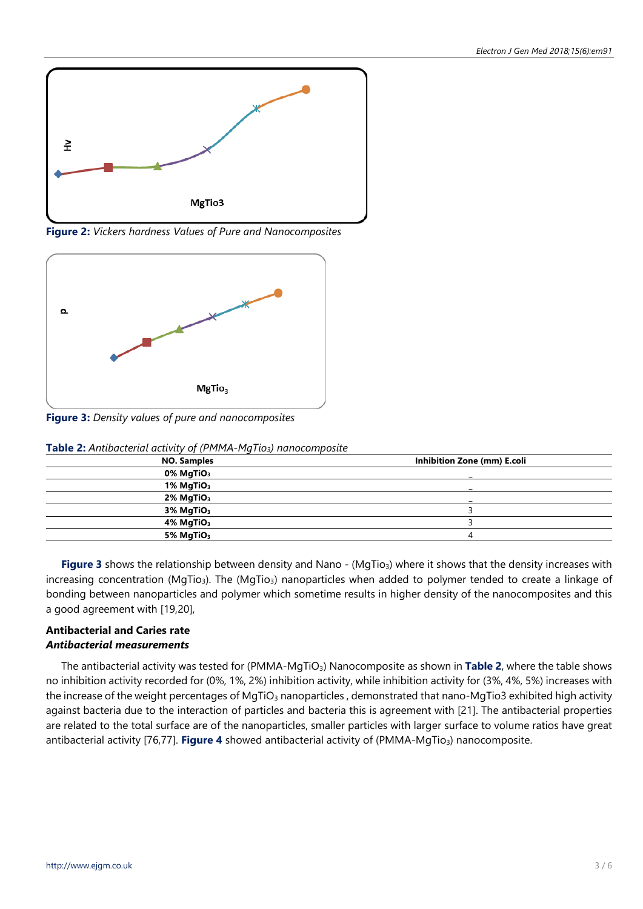

**Figure 2:** *Vickers hardness Values of Pure and Nanocomposites*



**Figure 3:** *Density values of pure and nanocomposites*

| <b>Table 2.</b> This decided with the proof of the proof that the system position |                             |  |  |
|-----------------------------------------------------------------------------------|-----------------------------|--|--|
| <b>NO. Samples</b>                                                                | Inhibition Zone (mm) E.coli |  |  |
| $0\%$ MgTiO <sub>3</sub>                                                          |                             |  |  |
| 1% MgTiO <sub>3</sub>                                                             |                             |  |  |
| 2% MgTiO <sub>3</sub>                                                             |                             |  |  |
| 3% MgTiO <sub>3</sub>                                                             |                             |  |  |
| $4\%$ MgTiO <sub>3</sub>                                                          |                             |  |  |
| 5% MgTiO <sub>3</sub>                                                             |                             |  |  |
|                                                                                   |                             |  |  |

**Table 2:** *Antibacterial activity of (PMMA-MgTio3) nanocomposite*

**Figure 3** shows the relationship between density and Nano - (MgTio<sub>3</sub>) where it shows that the density increases with increasing concentration (MgTio<sub>3</sub>). The (MgTio<sub>3</sub>) nanoparticles when added to polymer tended to create a linkage of bonding between nanoparticles and polymer which sometime results in higher density of the nanocomposites and this a good agreement with [19,20],

# **Antibacterial and Caries rate** *Antibacterial measurements*

The antibacterial activity was tested for (PMMA-MgTiO3) Nanocomposite as shown in **Table 2**, where the table shows no inhibition activity recorded for (0%, 1%, 2%) inhibition activity, while inhibition activity for (3%, 4%, 5%) increases with the increase of the weight percentages of MgTiO<sub>3</sub> nanoparticles, demonstrated that nano-MgTio3 exhibited high activity against bacteria due to the interaction of particles and bacteria this is agreement with [21]. The antibacterial properties are related to the total surface are of the nanoparticles, smaller particles with larger surface to volume ratios have great antibacterial activity [76,77]. **Figure 4** showed antibacterial activity of (PMMA-MgTio<sub>3</sub>) nanocomposite.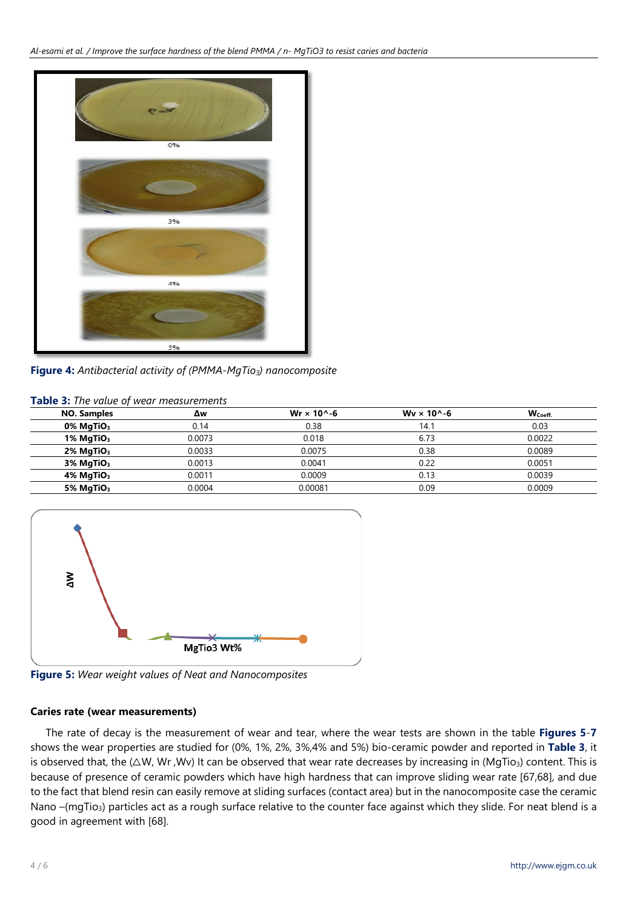

**Figure 4:** *Antibacterial activity of (PMMA-MgTio3) nanocomposite*

## **Table 3:** *The value of wear measurements*

| <b>NO. Samples</b>       | Δw     | Wr $\times$ 10^-6 | Wy $\times$ 10^-6 | W <sub>Coeff.</sub> |
|--------------------------|--------|-------------------|-------------------|---------------------|
| $0\%$ MgTiO <sub>3</sub> | 0.14   | 0.38              | 14.1              | 0.03                |
| 1% MgTiO <sub>3</sub>    | 0.0073 | 0.018             | 6.73              | 0.0022              |
| $2\%$ MgTiO <sub>3</sub> | 0.0033 | 0.0075            | 0.38              | 0.0089              |
| $3\%$ MgTiO <sub>3</sub> | 0.0013 | 0.0041            | 0.22              | 0.0051              |
| $4\%$ MgTiO <sub>3</sub> | 0.0011 | 0.0009            | 0.13              | 0.0039              |
| 5% $MqTiO3$              | 0.0004 | 0.00081           | 0.09              | 0.0009              |



**Figure 5:** *Wear weight values of Neat and Nanocomposites*

## **Caries rate (wear measurements)**

The rate of decay is the measurement of wear and tear, where the wear tests are shown in the table **Figures 5**-**7** shows the wear properties are studied for (0%, 1%, 2%, 3%,4% and 5%) bio-ceramic powder and reported in **Table 3**, it is observed that, the ( $\triangle W$ , Wr, Wv) It can be observed that wear rate decreases by increasing in (MgTio<sub>3</sub>) content. This is because of presence of ceramic powders which have high hardness that can improve sliding wear rate [67,68], and due to the fact that blend resin can easily remove at sliding surfaces (contact area) but in the nanocomposite case the ceramic Nano -(mgTio<sub>3</sub>) particles act as a rough surface relative to the counter face against which they slide. For neat blend is a good in agreement with [68].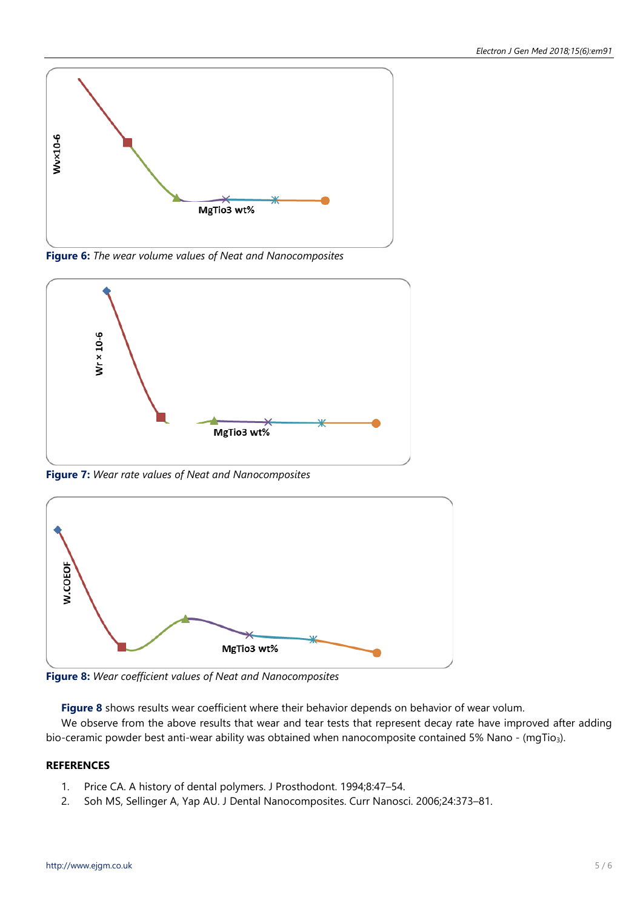

**Figure 6:** *The wear volume values of Neat and Nanocomposites*



**Figure 7:** *Wear rate values of Neat and Nanocomposites*



**Figure 8:** *Wear coefficient values of Neat and Nanocomposites*

**Figure 8** shows results wear coefficient where their behavior depends on behavior of wear volum.

We observe from the above results that wear and tear tests that represent decay rate have improved after adding bio-ceramic powder best anti-wear ability was obtained when nanocomposite contained 5% Nano - (mqTio3).

# **REFERENCES**

- 1. Price CA. A history of dental polymers. J Prosthodont. 1994;8:47–54.
- 2. Soh MS, Sellinger A, Yap AU. J Dental Nanocomposites. Curr Nanosci. 2006;24:373–81.